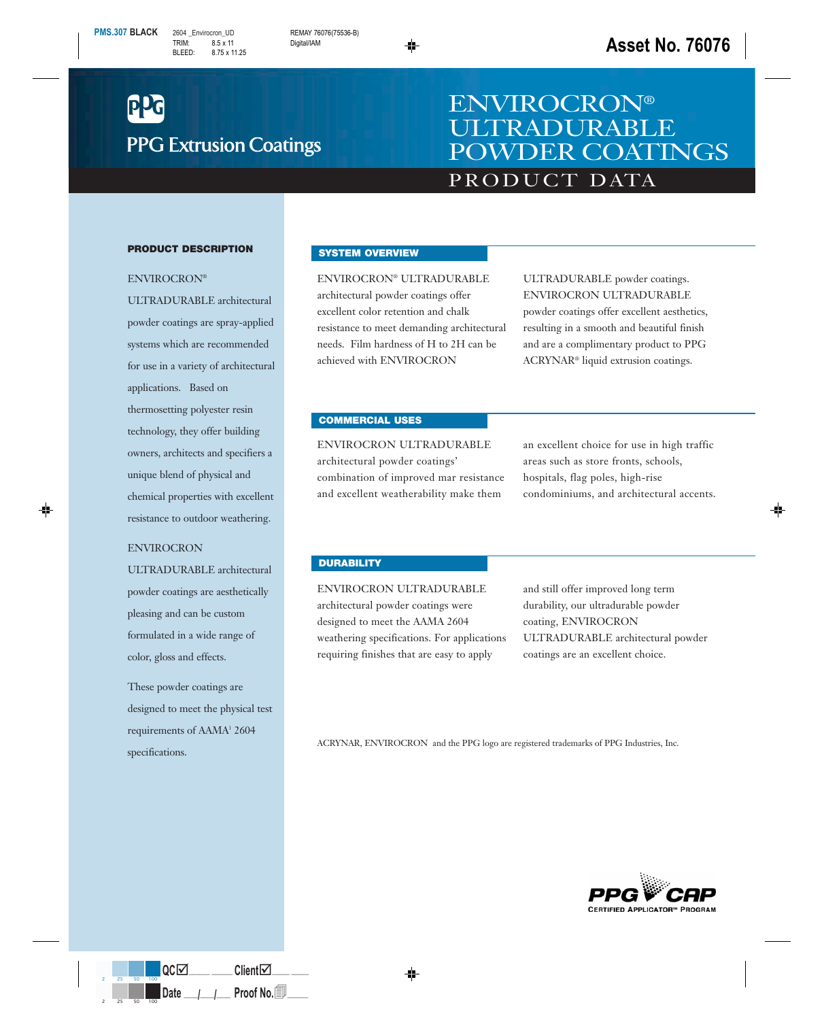

# PRODUCT DATA ENVIROCRON® ULTRADURABLE POWDER COATINGS

#### **PRODUCT DESCRIPTION**

#### ENVIROCRON®

ULTRADURABLE architectural powder coatings are spray-applied systems which are recommended for use in a variety of architectural applications. Based on thermosetting polyester resin technology, they offer building owners, architects and specifiers a unique blend of physical and chemical properties with excellent resistance to outdoor weathering.

### ENVIROCRON

ULTRADURABLE architectural powder coatings are aesthetically pleasing and can be custom formulated in a wide range of color, gloss and effects.

These powder coatings are designed to meet the physical test requirements of AAMA<sup>1</sup> 2604 specifications.

## **SYSTEM OVERVIEW**

ENVIROCRON® ULTRADURABLE architectural powder coatings offer excellent color retention and chalk resistance to meet demanding architectural needs. Film hardness of H to 2H can be achieved with ENVIROCRON

ULTRADURABLE powder coatings. ENVIROCRON ULTRADURABLE powder coatings offer excellent aesthetics, resulting in a smooth and beautiful finish and are a complimentary product to PPG ACRYNAR® liquid extrusion coatings.

#### **COMMERCIAL USES**

ENVIROCRON ULTRADURABLE architectural powder coatings' combination of improved mar resistance and excellent weatherability make them

an excellent choice for use in high traffic areas such as store fronts, schools, hospitals, flag poles, high-rise condominiums, and architectural accents.

# **DURABILITY**

ENVIROCRON ULTRADURABLE architectural powder coatings were designed to meet the AAMA 2604 weathering specifications. For applications requiring finishes that are easy to apply

and still offer improved long term durability, our ultradurable powder coating, ENVIROCRON ULTRADURABLE architectural powder coatings are an excellent choice.

ACRYNAR, ENVIROCRON and the PPG logo are registered trademarks of PPG Industries, Inc.